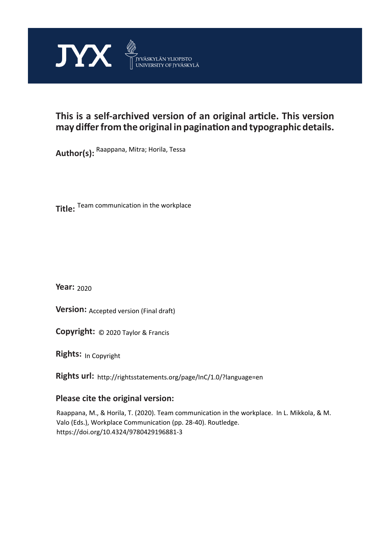

# **This is a self-archived version of an original article. This version may differ from the original in pagination and typographic details.**

**Author(s):**  Raappana, Mitra; Horila, Tessa

**Title:**  Team communication in the workplace

**Year:**  2020

**Version: Accepted version (Final draft)** 

**Version:** Accepted version (Final draft)<br>**Copyright:** © 2020 Taylor & Francis

**Rights:** In Copyright

**Rights url:**  http://rightsstatements.org/page/InC/1.0/?language=en

# **Please cite the original version:**

Raappana, M., & Horila, T. (2020). Team communication in the workplace. In L. Mikkola, & M. Valo (Eds.), Workplace Communication (pp. 28-40). Routledge. https://doi.org/10.4324/9780429196881-3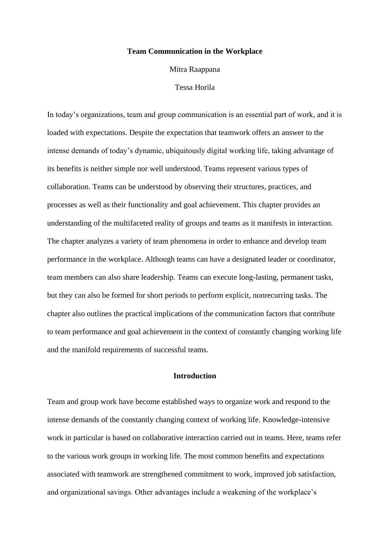#### **Team Communication in the Workplace**

Mitra Raappana

#### Tessa Horila

In today's organizations, team and group communication is an essential part of work, and it is loaded with expectations. Despite the expectation that teamwork offers an answer to the intense demands of today's dynamic, ubiquitously digital working life, taking advantage of its benefits is neither simple nor well understood. Teams represent various types of collaboration. Teams can be understood by observing their structures, practices, and processes as well as their functionality and goal achievement. This chapter provides an understanding of the multifaceted reality of groups and teams as it manifests in interaction. The chapter analyzes a variety of team phenomena in order to enhance and develop team performance in the workplace. Although teams can have a designated leader or coordinator, team members can also share leadership. Teams can execute long-lasting, permanent tasks, but they can also be formed for short periods to perform explicit, nonrecurring tasks. The chapter also outlines the practical implications of the communication factors that contribute to team performance and goal achievement in the context of constantly changing working life and the manifold requirements of successful teams.

# **Introduction**

Team and group work have become established ways to organize work and respond to the intense demands of the constantly changing context of working life. Knowledge-intensive work in particular is based on collaborative interaction carried out in teams. Here, teams refer to the various work groups in working life. The most common benefits and expectations associated with teamwork are strengthened commitment to work, improved job satisfaction, and organizational savings. Other advantages include a weakening of the workplace's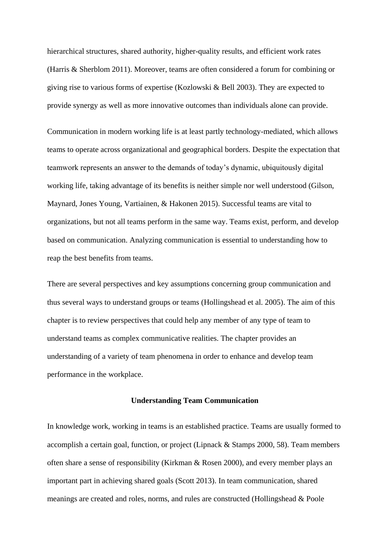hierarchical structures, shared authority, higher-quality results, and efficient work rates (Harris & Sherblom 2011). Moreover, teams are often considered a forum for combining or giving rise to various forms of expertise (Kozlowski & Bell 2003). They are expected to provide synergy as well as more innovative outcomes than individuals alone can provide.

Communication in modern working life is at least partly technology-mediated, which allows teams to operate across organizational and geographical borders. Despite the expectation that teamwork represents an answer to the demands of today's dynamic, ubiquitously digital working life, taking advantage of its benefits is neither simple nor well understood (Gilson, Maynard, Jones Young, Vartiainen, & Hakonen 2015). Successful teams are vital to organizations, but not all teams perform in the same way. Teams exist, perform, and develop based on communication. Analyzing communication is essential to understanding how to reap the best benefits from teams.

There are several perspectives and key assumptions concerning group communication and thus several ways to understand groups or teams (Hollingshead et al. 2005). The aim of this chapter is to review perspectives that could help any member of any type of team to understand teams as complex communicative realities. The chapter provides an understanding of a variety of team phenomena in order to enhance and develop team performance in the workplace.

# **Understanding Team Communication**

In knowledge work, working in teams is an established practice. Teams are usually formed to accomplish a certain goal, function, or project (Lipnack & Stamps 2000, 58). Team members often share a sense of responsibility (Kirkman & Rosen 2000), and every member plays an important part in achieving shared goals (Scott 2013). In team communication, shared meanings are created and roles, norms, and rules are constructed (Hollingshead & Poole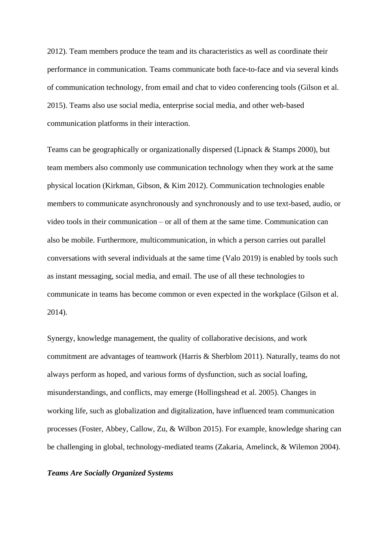2012). Team members produce the team and its characteristics as well as coordinate their performance in communication. Teams communicate both face-to-face and via several kinds of communication technology, from email and chat to video conferencing tools (Gilson et al. 2015). Teams also use social media, enterprise social media, and other web-based communication platforms in their interaction.

Teams can be geographically or organizationally dispersed (Lipnack & Stamps 2000), but team members also commonly use communication technology when they work at the same physical location (Kirkman, Gibson, & Kim 2012). Communication technologies enable members to communicate asynchronously and synchronously and to use text-based, audio, or video tools in their communication – or all of them at the same time. Communication can also be mobile. Furthermore, multicommunication, in which a person carries out parallel conversations with several individuals at the same time (Valo 2019) is enabled by tools such as instant messaging, social media, and email. The use of all these technologies to communicate in teams has become common or even expected in the workplace (Gilson et al. 2014).

Synergy, knowledge management, the quality of collaborative decisions, and work commitment are advantages of teamwork (Harris & Sherblom 2011). Naturally, teams do not always perform as hoped, and various forms of dysfunction, such as social loafing, misunderstandings, and conflicts, may emerge (Hollingshead et al. 2005). Changes in working life, such as globalization and digitalization, have influenced team communication processes (Foster, Abbey, Callow, Zu, & Wilbon 2015). For example, knowledge sharing can be challenging in global, technology-mediated teams (Zakaria, Amelinck, & Wilemon 2004).

#### *Teams Are Socially Organized Systems*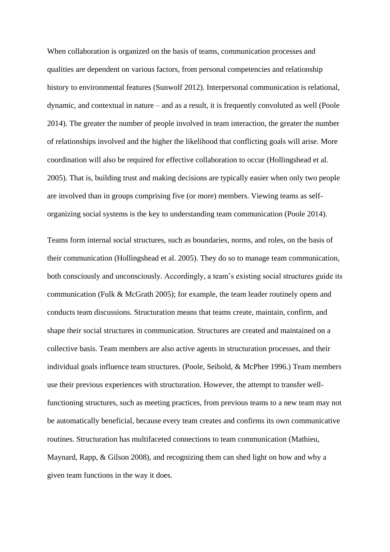When collaboration is organized on the basis of teams, communication processes and qualities are dependent on various factors, from personal competencies and relationship history to environmental features (Sunwolf 2012). Interpersonal communication is relational, dynamic, and contextual in nature – and as a result, it is frequently convoluted as well (Poole 2014). The greater the number of people involved in team interaction, the greater the number of relationships involved and the higher the likelihood that conflicting goals will arise. More coordination will also be required for effective collaboration to occur (Hollingshead et al. 2005). That is, building trust and making decisions are typically easier when only two people are involved than in groups comprising five (or more) members. Viewing teams as selforganizing social systems is the key to understanding team communication (Poole 2014).

Teams form internal social structures, such as boundaries, norms, and roles, on the basis of their communication (Hollingshead et al. 2005). They do so to manage team communication, both consciously and unconsciously. Accordingly, a team's existing social structures guide its communication (Fulk & McGrath 2005); for example, the team leader routinely opens and conducts team discussions. Structuration means that teams create, maintain, confirm, and shape their social structures in communication. Structures are created and maintained on a collective basis. Team members are also active agents in structuration processes, and their individual goals influence team structures. (Poole, Seibold, & McPhee 1996.) Team members use their previous experiences with structuration. However, the attempt to transfer wellfunctioning structures, such as meeting practices, from previous teams to a new team may not be automatically beneficial, because every team creates and confirms its own communicative routines. Structuration has multifaceted connections to team communication (Mathieu, Maynard, Rapp, & Gilson 2008), and recognizing them can shed light on how and why a given team functions in the way it does.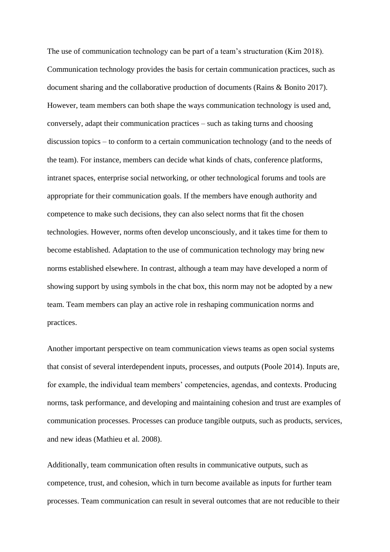The use of communication technology can be part of a team's structuration (Kim 2018). Communication technology provides the basis for certain communication practices, such as document sharing and the collaborative production of documents (Rains & Bonito 2017). However, team members can both shape the ways communication technology is used and, conversely, adapt their communication practices – such as taking turns and choosing discussion topics – to conform to a certain communication technology (and to the needs of the team). For instance, members can decide what kinds of chats, conference platforms, intranet spaces, enterprise social networking, or other technological forums and tools are appropriate for their communication goals. If the members have enough authority and competence to make such decisions, they can also select norms that fit the chosen technologies. However, norms often develop unconsciously, and it takes time for them to become established. Adaptation to the use of communication technology may bring new norms established elsewhere. In contrast, although a team may have developed a norm of showing support by using symbols in the chat box, this norm may not be adopted by a new team. Team members can play an active role in reshaping communication norms and practices.

Another important perspective on team communication views teams as open social systems that consist of several interdependent inputs, processes, and outputs (Poole 2014). Inputs are, for example, the individual team members' competencies, agendas, and contexts. Producing norms, task performance, and developing and maintaining cohesion and trust are examples of communication processes. Processes can produce tangible outputs, such as products, services, and new ideas (Mathieu et al. 2008).

Additionally, team communication often results in communicative outputs, such as competence, trust, and cohesion, which in turn become available as inputs for further team processes. Team communication can result in several outcomes that are not reducible to their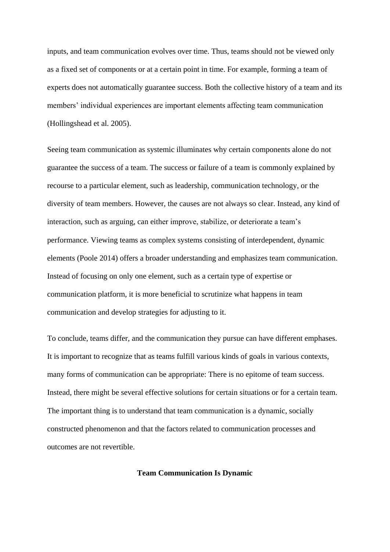inputs, and team communication evolves over time. Thus, teams should not be viewed only as a fixed set of components or at a certain point in time. For example, forming a team of experts does not automatically guarantee success. Both the collective history of a team and its members' individual experiences are important elements affecting team communication (Hollingshead et al. 2005).

Seeing team communication as systemic illuminates why certain components alone do not guarantee the success of a team. The success or failure of a team is commonly explained by recourse to a particular element, such as leadership, communication technology, or the diversity of team members. However, the causes are not always so clear. Instead, any kind of interaction, such as arguing, can either improve, stabilize, or deteriorate a team's performance. Viewing teams as complex systems consisting of interdependent, dynamic elements (Poole 2014) offers a broader understanding and emphasizes team communication. Instead of focusing on only one element, such as a certain type of expertise or communication platform, it is more beneficial to scrutinize what happens in team communication and develop strategies for adjusting to it.

To conclude, teams differ, and the communication they pursue can have different emphases. It is important to recognize that as teams fulfill various kinds of goals in various contexts, many forms of communication can be appropriate: There is no epitome of team success. Instead, there might be several effective solutions for certain situations or for a certain team. The important thing is to understand that team communication is a dynamic, socially constructed phenomenon and that the factors related to communication processes and outcomes are not revertible.

**Team Communication Is Dynamic**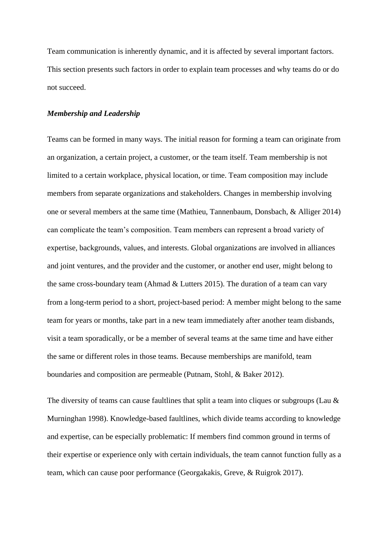Team communication is inherently dynamic, and it is affected by several important factors. This section presents such factors in order to explain team processes and why teams do or do not succeed.

# *Membership and Leadership*

Teams can be formed in many ways. The initial reason for forming a team can originate from an organization, a certain project, a customer, or the team itself. Team membership is not limited to a certain workplace, physical location, or time. Team composition may include members from separate organizations and stakeholders. Changes in membership involving one or several members at the same time (Mathieu, Tannenbaum, Donsbach, & Alliger 2014) can complicate the team's composition. Team members can represent a broad variety of expertise, backgrounds, values, and interests. Global organizations are involved in alliances and joint ventures, and the provider and the customer, or another end user, might belong to the same cross-boundary team (Ahmad & Lutters 2015). The duration of a team can vary from a long-term period to a short, project-based period: A member might belong to the same team for years or months, take part in a new team immediately after another team disbands, visit a team sporadically, or be a member of several teams at the same time and have either the same or different roles in those teams. Because memberships are manifold, team boundaries and composition are permeable (Putnam, Stohl, & Baker 2012).

The diversity of teams can cause faultlines that split a team into cliques or subgroups (Lau & Murninghan 1998). Knowledge-based faultlines, which divide teams according to knowledge and expertise, can be especially problematic: If members find common ground in terms of their expertise or experience only with certain individuals, the team cannot function fully as a team, which can cause poor performance (Georgakakis, Greve, & Ruigrok 2017).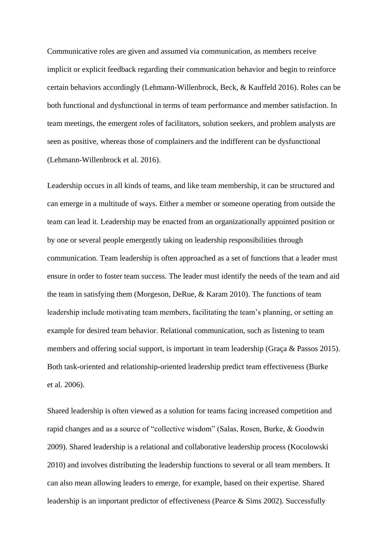Communicative roles are given and assumed via communication, as members receive implicit or explicit feedback regarding their communication behavior and begin to reinforce certain behaviors accordingly (Lehmann-Willenbrock, Beck, & Kauffeld 2016). Roles can be both functional and dysfunctional in terms of team performance and member satisfaction. In team meetings, the emergent roles of facilitators, solution seekers, and problem analysts are seen as positive, whereas those of complainers and the indifferent can be dysfunctional (Lehmann-Willenbrock et al. 2016).

Leadership occurs in all kinds of teams, and like team membership, it can be structured and can emerge in a multitude of ways. Either a member or someone operating from outside the team can lead it. Leadership may be enacted from an organizationally appointed position or by one or several people emergently taking on leadership responsibilities through communication. Team leadership is often approached as a set of functions that a leader must ensure in order to foster team success. The leader must identify the needs of the team and aid the team in satisfying them (Morgeson, DeRue, & Karam 2010). The functions of team leadership include motivating team members, facilitating the team's planning, or setting an example for desired team behavior. Relational communication, such as listening to team members and offering social support, is important in team leadership (Graça & Passos 2015). Both task-oriented and relationship-oriented leadership predict team effectiveness (Burke et al. 2006).

Shared leadership is often viewed as a solution for teams facing increased competition and rapid changes and as a source of "collective wisdom" (Salas, Rosen, Burke, & Goodwin 2009). Shared leadership is a relational and collaborative leadership process (Kocolowski 2010) and involves distributing the leadership functions to several or all team members. It can also mean allowing leaders to emerge, for example, based on their expertise. Shared leadership is an important predictor of effectiveness (Pearce & Sims 2002). Successfully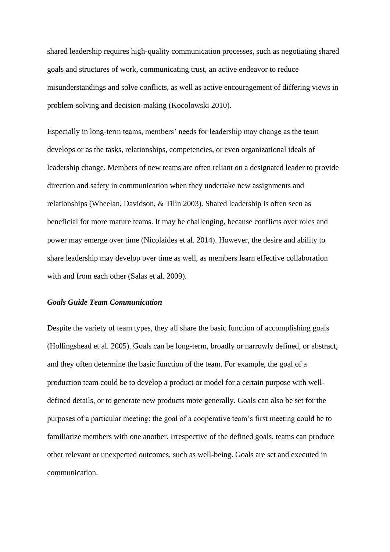shared leadership requires high-quality communication processes, such as negotiating shared goals and structures of work, communicating trust, an active endeavor to reduce misunderstandings and solve conflicts, as well as active encouragement of differing views in problem-solving and decision-making (Kocolowski 2010).

Especially in long-term teams, members' needs for leadership may change as the team develops or as the tasks, relationships, competencies, or even organizational ideals of leadership change. Members of new teams are often reliant on a designated leader to provide direction and safety in communication when they undertake new assignments and relationships (Wheelan, Davidson, & Tilin 2003). Shared leadership is often seen as beneficial for more mature teams. It may be challenging, because conflicts over roles and power may emerge over time (Nicolaides et al. 2014). However, the desire and ability to share leadership may develop over time as well, as members learn effective collaboration with and from each other (Salas et al. 2009).

## *Goals Guide Team Communication*

Despite the variety of team types, they all share the basic function of accomplishing goals (Hollingshead et al. 2005). Goals can be long-term, broadly or narrowly defined, or abstract, and they often determine the basic function of the team. For example, the goal of a production team could be to develop a product or model for a certain purpose with welldefined details, or to generate new products more generally. Goals can also be set for the purposes of a particular meeting; the goal of a cooperative team's first meeting could be to familiarize members with one another. Irrespective of the defined goals, teams can produce other relevant or unexpected outcomes, such as well-being. Goals are set and executed in communication.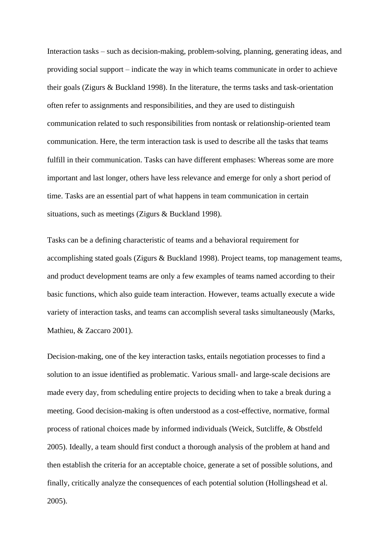Interaction tasks – such as decision-making, problem-solving, planning, generating ideas, and providing social support – indicate the way in which teams communicate in order to achieve their goals (Zigurs & Buckland 1998). In the literature, the terms tasks and task-orientation often refer to assignments and responsibilities, and they are used to distinguish communication related to such responsibilities from nontask or relationship-oriented team communication. Here, the term interaction task is used to describe all the tasks that teams fulfill in their communication. Tasks can have different emphases: Whereas some are more important and last longer, others have less relevance and emerge for only a short period of time. Tasks are an essential part of what happens in team communication in certain situations, such as meetings (Zigurs & Buckland 1998).

Tasks can be a defining characteristic of teams and a behavioral requirement for accomplishing stated goals (Zigurs & Buckland 1998). Project teams, top management teams, and product development teams are only a few examples of teams named according to their basic functions, which also guide team interaction. However, teams actually execute a wide variety of interaction tasks, and teams can accomplish several tasks simultaneously (Marks, Mathieu, & Zaccaro 2001).

Decision-making, one of the key interaction tasks, entails negotiation processes to find a solution to an issue identified as problematic. Various small- and large-scale decisions are made every day, from scheduling entire projects to deciding when to take a break during a meeting. Good decision-making is often understood as a cost-effective, normative, formal process of rational choices made by informed individuals (Weick, Sutcliffe, & Obstfeld 2005). Ideally, a team should first conduct a thorough analysis of the problem at hand and then establish the criteria for an acceptable choice, generate a set of possible solutions, and finally, critically analyze the consequences of each potential solution (Hollingshead et al. 2005).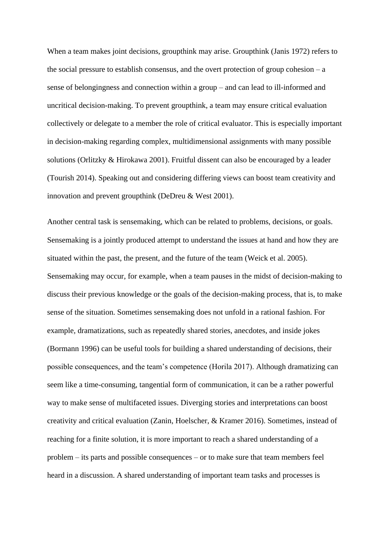When a team makes joint decisions, groupthink may arise. Groupthink (Janis 1972) refers to the social pressure to establish consensus, and the overt protection of group cohesion  $-a$ sense of belongingness and connection within a group – and can lead to ill-informed and uncritical decision-making. To prevent groupthink, a team may ensure critical evaluation collectively or delegate to a member the role of critical evaluator. This is especially important in decision-making regarding complex, multidimensional assignments with many possible solutions (Orlitzky & Hirokawa 2001). Fruitful dissent can also be encouraged by a leader (Tourish 2014). Speaking out and considering differing views can boost team creativity and innovation and prevent groupthink (DeDreu & West 2001).

Another central task is sensemaking, which can be related to problems, decisions, or goals. Sensemaking is a jointly produced attempt to understand the issues at hand and how they are situated within the past, the present, and the future of the team (Weick et al. 2005). Sensemaking may occur, for example, when a team pauses in the midst of decision-making to discuss their previous knowledge or the goals of the decision-making process, that is, to make sense of the situation. Sometimes sensemaking does not unfold in a rational fashion. For example, dramatizations, such as repeatedly shared stories, anecdotes, and inside jokes (Bormann 1996) can be useful tools for building a shared understanding of decisions, their possible consequences, and the team's competence (Horila 2017). Although dramatizing can seem like a time-consuming, tangential form of communication, it can be a rather powerful way to make sense of multifaceted issues. Diverging stories and interpretations can boost creativity and critical evaluation (Zanin, Hoelscher, & Kramer 2016). Sometimes, instead of reaching for a finite solution, it is more important to reach a shared understanding of a problem – its parts and possible consequences – or to make sure that team members feel heard in a discussion. A shared understanding of important team tasks and processes is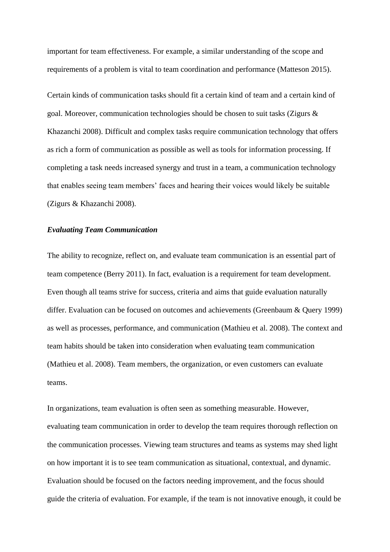important for team effectiveness. For example, a similar understanding of the scope and requirements of a problem is vital to team coordination and performance (Matteson 2015).

Certain kinds of communication tasks should fit a certain kind of team and a certain kind of goal. Moreover, communication technologies should be chosen to suit tasks (Zigurs & Khazanchi 2008). Difficult and complex tasks require communication technology that offers as rich a form of communication as possible as well as tools for information processing. If completing a task needs increased synergy and trust in a team, a communication technology that enables seeing team members' faces and hearing their voices would likely be suitable (Zigurs & Khazanchi 2008).

## *Evaluating Team Communication*

The ability to recognize, reflect on, and evaluate team communication is an essential part of team competence (Berry 2011). In fact, evaluation is a requirement for team development. Even though all teams strive for success, criteria and aims that guide evaluation naturally differ. Evaluation can be focused on outcomes and achievements (Greenbaum & Query 1999) as well as processes, performance, and communication (Mathieu et al. 2008). The context and team habits should be taken into consideration when evaluating team communication (Mathieu et al. 2008). Team members, the organization, or even customers can evaluate teams.

In organizations, team evaluation is often seen as something measurable. However, evaluating team communication in order to develop the team requires thorough reflection on the communication processes. Viewing team structures and teams as systems may shed light on how important it is to see team communication as situational, contextual, and dynamic. Evaluation should be focused on the factors needing improvement, and the focus should guide the criteria of evaluation. For example, if the team is not innovative enough, it could be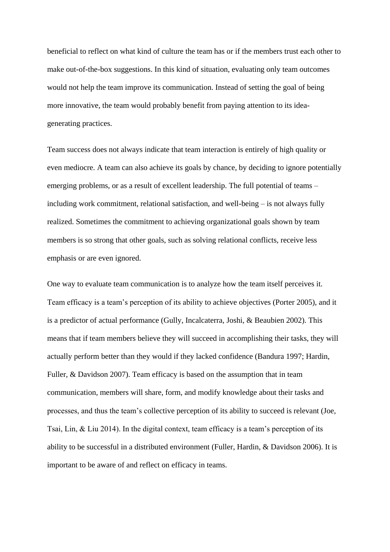beneficial to reflect on what kind of culture the team has or if the members trust each other to make out-of-the-box suggestions. In this kind of situation, evaluating only team outcomes would not help the team improve its communication. Instead of setting the goal of being more innovative, the team would probably benefit from paying attention to its ideagenerating practices.

Team success does not always indicate that team interaction is entirely of high quality or even mediocre. A team can also achieve its goals by chance, by deciding to ignore potentially emerging problems, or as a result of excellent leadership. The full potential of teams – including work commitment, relational satisfaction, and well-being – is not always fully realized. Sometimes the commitment to achieving organizational goals shown by team members is so strong that other goals, such as solving relational conflicts, receive less emphasis or are even ignored.

One way to evaluate team communication is to analyze how the team itself perceives it. Team efficacy is a team's perception of its ability to achieve objectives (Porter 2005), and it is a predictor of actual performance (Gully, Incalcaterra, Joshi, & Beaubien 2002). This means that if team members believe they will succeed in accomplishing their tasks, they will actually perform better than they would if they lacked confidence (Bandura 1997; Hardin, Fuller, & Davidson 2007). Team efficacy is based on the assumption that in team communication, members will share, form, and modify knowledge about their tasks and processes, and thus the team's collective perception of its ability to succeed is relevant (Joe, Tsai, Lin, & Liu 2014). In the digital context, team efficacy is a team's perception of its ability to be successful in a distributed environment (Fuller, Hardin, & Davidson 2006). It is important to be aware of and reflect on efficacy in teams.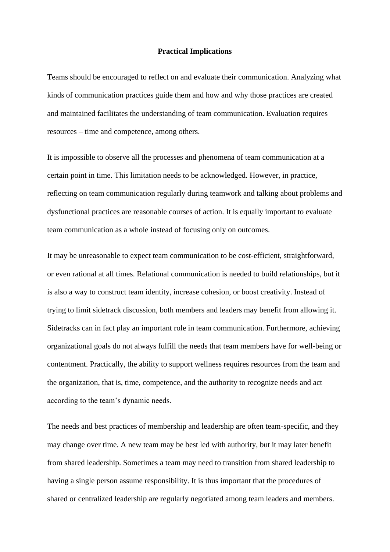## **Practical Implications**

Teams should be encouraged to reflect on and evaluate their communication. Analyzing what kinds of communication practices guide them and how and why those practices are created and maintained facilitates the understanding of team communication. Evaluation requires resources – time and competence, among others.

It is impossible to observe all the processes and phenomena of team communication at a certain point in time. This limitation needs to be acknowledged. However, in practice, reflecting on team communication regularly during teamwork and talking about problems and dysfunctional practices are reasonable courses of action. It is equally important to evaluate team communication as a whole instead of focusing only on outcomes.

It may be unreasonable to expect team communication to be cost-efficient, straightforward, or even rational at all times. Relational communication is needed to build relationships, but it is also a way to construct team identity, increase cohesion, or boost creativity. Instead of trying to limit sidetrack discussion, both members and leaders may benefit from allowing it. Sidetracks can in fact play an important role in team communication. Furthermore, achieving organizational goals do not always fulfill the needs that team members have for well-being or contentment. Practically, the ability to support wellness requires resources from the team and the organization, that is, time, competence, and the authority to recognize needs and act according to the team's dynamic needs.

The needs and best practices of membership and leadership are often team-specific, and they may change over time. A new team may be best led with authority, but it may later benefit from shared leadership. Sometimes a team may need to transition from shared leadership to having a single person assume responsibility. It is thus important that the procedures of shared or centralized leadership are regularly negotiated among team leaders and members.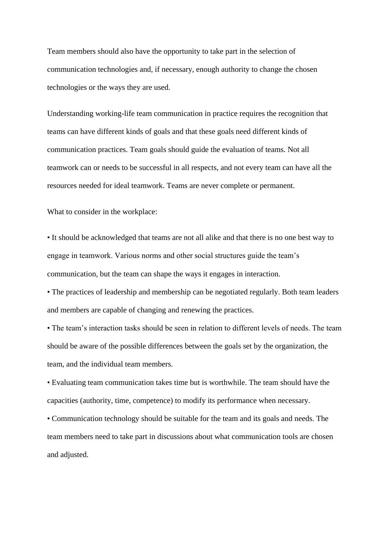Team members should also have the opportunity to take part in the selection of communication technologies and, if necessary, enough authority to change the chosen technologies or the ways they are used.

Understanding working-life team communication in practice requires the recognition that teams can have different kinds of goals and that these goals need different kinds of communication practices. Team goals should guide the evaluation of teams. Not all teamwork can or needs to be successful in all respects, and not every team can have all the resources needed for ideal teamwork. Teams are never complete or permanent.

What to consider in the workplace:

• It should be acknowledged that teams are not all alike and that there is no one best way to engage in teamwork. Various norms and other social structures guide the team's communication, but the team can shape the ways it engages in interaction.

• The practices of leadership and membership can be negotiated regularly. Both team leaders and members are capable of changing and renewing the practices.

• The team's interaction tasks should be seen in relation to different levels of needs. The team should be aware of the possible differences between the goals set by the organization, the team, and the individual team members.

• Evaluating team communication takes time but is worthwhile. The team should have the capacities (authority, time, competence) to modify its performance when necessary.

• Communication technology should be suitable for the team and its goals and needs. The team members need to take part in discussions about what communication tools are chosen and adjusted.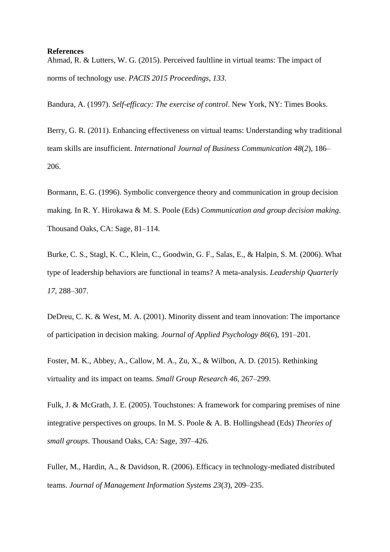#### **References**

Ahmad, R. & Lutters, W. G. (2015). Perceived faultline in virtual teams: The impact of norms of technology use. *PACIS 2015 Proceedings*, *133*.

Bandura, A. (1997). *Self-efficacy: The exercise of control*. New York, NY: Times Books.

Berry, G. R. (2011). Enhancing effectiveness on virtual teams: Understanding why traditional team skills are insufficient. *International Journal of Business Communication 48*(*2*), 186– 206.

Bormann, E. G. (1996). Symbolic convergence theory and communication in group decision making. In R. Y. Hirokawa & M. S. Poole (Eds) *Communication and group decision making*. Thousand Oaks, CA: Sage, 81–114.

Burke, C. S., Stagl, K. C., Klein, C., Goodwin, G. F., Salas, E., & Halpin, S. M. (2006). What type of leadership behaviors are functional in teams? A meta-analysis. *Leadership Quarterly 17*, 288–307.

DeDreu, C. K. & West, M. A. (2001). Minority dissent and team innovation: The importance of participation in decision making. *Journal of Applied Psychology 86*(*6*), 191–201.

Foster, M. K., Abbey, A., Callow, M. A., Zu, X., & Wilbon, A. D. (2015). Rethinking virtuality and its impact on teams. *Small Group Research 46*, 267–299.

Fulk, J. & McGrath, J. E. (2005). Touchstones: A framework for comparing premises of nine integrative perspectives on groups. In M. S. Poole & A. B. Hollingshead (Eds) *Theories of small groups*. Thousand Oaks, CA: Sage, 397–426.

Fuller, M., Hardin, A., & Davidson, R. (2006). Efficacy in technology-mediated distributed teams. *Journal of Management Information Systems 23*(*3*), 209–235.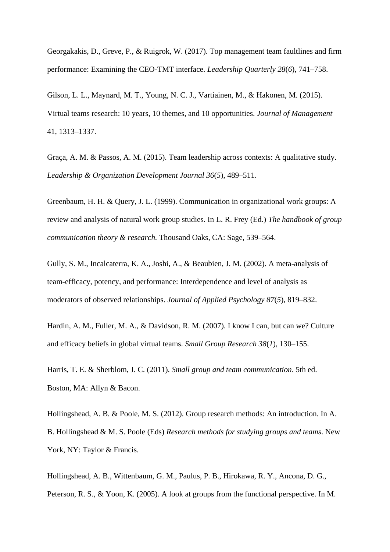Georgakakis, D., Greve, P., & Ruigrok, W. (2017). Top management team faultlines and firm performance: Examining the CEO-TMT interface. *Leadership Quarterly 28*(*6*), 741–758.

Gilson, L. L., Maynard, M. T., Young, N. C. J., Vartiainen, M., & Hakonen, M. (2015). Virtual teams research: 10 years, 10 themes, and 10 opportunities. *Journal of Management* 41, 1313–1337.

Graça, A. M. & Passos, A. M. (2015). Team leadership across contexts: A qualitative study. *Leadership & Organization Development Journal 36*(*5*), 489–511.

Greenbaum, H. H. & Query, J. L. (1999). Communication in organizational work groups: A review and analysis of natural work group studies. In L. R. Frey (Ed.) *The handbook of group communication theory & research.* Thousand Oaks, CA: Sage, 539–564.

Gully, S. M., Incalcaterra, K. A., Joshi, A., & Beaubien, J. M. (2002). A meta-analysis of team-efficacy, potency, and performance: Interdependence and level of analysis as moderators of observed relationships. *Journal of Applied Psychology 87*(*5*), 819–832.

Hardin, A. M., Fuller, M. A., & Davidson, R. M. (2007). I know I can, but can we? Culture and efficacy beliefs in global virtual teams. *Small Group Research 38*(*1*), 130–155.

Harris, T. E. & Sherblom, J. C. (2011). *Small group and team communication*. 5th ed. Boston, MA: Allyn & Bacon.

Hollingshead, A. B. & Poole, M. S. (2012). Group research methods: An introduction. In A. B. Hollingshead & M. S. Poole (Eds) *Research methods for studying groups and teams*. New York, NY: Taylor & Francis.

Hollingshead, A. B., Wittenbaum, G. M., Paulus, P. B., Hirokawa, R. Y., Ancona, D. G., Peterson, R. S., & Yoon, K. (2005). A look at groups from the functional perspective. In M.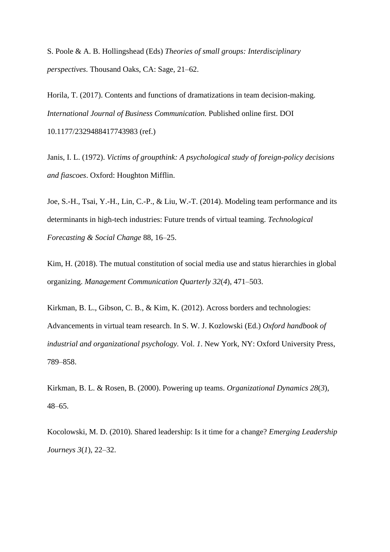S. Poole & A. B. Hollingshead (Eds) *Theories of small groups: Interdisciplinary perspectives*. Thousand Oaks, CA: Sage, 21–62.

Horila, T. (2017). Contents and functions of dramatizations in team decision-making. *International Journal of Business Communication.* Published online first. DOI 10.1177/2329488417743983 (ref.)

Janis, I. L. (1972). *Victims of groupthink: A psychological study of foreign-policy decisions and fiascoes*. Oxford: Houghton Mifflin.

Joe, S.-H., Tsai, Y.-H., Lin, C.-P., & Liu, W.-T. (2014). Modeling team performance and its determinants in high-tech industries: Future trends of virtual teaming. *Technological Forecasting & Social Change* 88, 16–25.

Kim, H. (2018). The mutual constitution of social media use and status hierarchies in global organizing. *Management Communication Quarterly 32*(*4*), 471–503.

Kirkman, B. L., Gibson, C. B., & Kim, K. (2012). Across borders and technologies: Advancements in virtual team research. In S. W. J. Kozlowski (Ed.) *Oxford handbook of industrial and organizational psychology.* Vol. *1*. New York, NY: Oxford University Press, 789–858.

Kirkman, B. L. & Rosen, B. (2000). Powering up teams. *Organizational Dynamics 28*(*3*), 48–65.

Kocolowski, M. D. (2010). Shared leadership: Is it time for a change? *Emerging Leadership Journeys 3*(*1*), 22–32.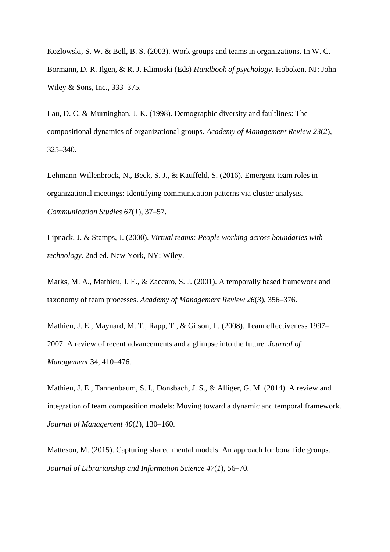Kozlowski, S. W. & Bell, B. S. (2003). Work groups and teams in organizations. In W. C. Bormann, D. R. Ilgen, & R. J. Klimoski (Eds) *Handbook of psychology*. Hoboken, NJ: John Wiley & Sons, Inc., 333–375.

Lau, D. C. & Murninghan, J. K. (1998). Demographic diversity and faultlines: The compositional dynamics of organizational groups. *Academy of Management Review 23*(*2*), 325–340.

Lehmann-Willenbrock, N., Beck, S. J., & Kauffeld, S. (2016). Emergent team roles in organizational meetings: Identifying communication patterns via cluster analysis. *Communication Studies 67*(*1*), 37–57.

Lipnack, J. & Stamps, J. (2000). *Virtual teams: People working across boundaries with technology.* 2nd ed. New York, NY: Wiley.

Marks, M. A., Mathieu, J. E., & Zaccaro, S. J. (2001). A temporally based framework and taxonomy of team processes. *Academy of Management Review 26*(*3*), 356–376.

Mathieu, J. E., Maynard, M. T., Rapp, T., & Gilson, L. (2008). Team effectiveness 1997– 2007: A review of recent advancements and a glimpse into the future. *Journal of Management* 34, 410–476.

Mathieu, J. E., Tannenbaum, S. I., Donsbach, J. S., & Alliger, G. M. (2014). A review and integration of team composition models: Moving toward a dynamic and temporal framework. *Journal of Management 40*(*1*), 130–160.

Matteson, M. (2015). Capturing shared mental models: An approach for bona fide groups. *Journal of Librarianship and Information Science 47*(*1*), 56–70.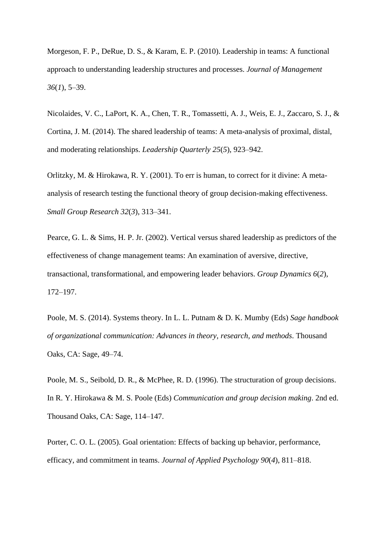Morgeson, F. P., DeRue, D. S., & Karam, E. P. (2010). Leadership in teams: A functional approach to understanding leadership structures and processes. *Journal of Management 36*(*1*), 5–39.

Nicolaides, V. C., LaPort, K. A., Chen, T. R., Tomassetti, A. J., Weis, E. J., Zaccaro, S. J., & Cortina, J. M. (2014). The shared leadership of teams: A meta-analysis of proximal, distal, and moderating relationships. *Leadership Quarterly 25*(*5*), 923–942.

Orlitzky, M. & Hirokawa, R. Y. (2001). To err is human, to correct for it divine: A metaanalysis of research testing the functional theory of group decision-making effectiveness. *Small Group Research 32*(*3*), 313–341.

Pearce, G. L. & Sims, H. P. Jr. (2002). Vertical versus shared leadership as predictors of the effectiveness of change management teams: An examination of aversive, directive, transactional, transformational, and empowering leader behaviors. *Group Dynamics 6*(*2*), 172–197.

Poole, M. S. (2014). Systems theory. In L. L. Putnam & D. K. Mumby (Eds) *Sage handbook of organizational communication: Advances in theory, research, and methods*. Thousand Oaks, CA: Sage, 49–74.

Poole, M. S., Seibold, D. R., & McPhee, R. D. (1996). The structuration of group decisions. In R. Y. Hirokawa & M. S. Poole (Eds) *Communication and group decision making*. 2nd ed. Thousand Oaks, CA: Sage, 114–147.

Porter, C. O. L. (2005). Goal orientation: Effects of backing up behavior, performance, efficacy, and commitment in teams. *Journal of Applied Psychology 90*(*4*), 811–818.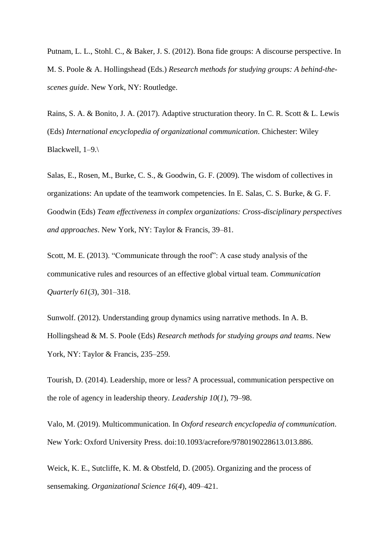Putnam, L. L., Stohl. C., & Baker, J. S. (2012). Bona fide groups: A discourse perspective. In M. S. Poole & A. Hollingshead (Eds.) *Research methods for studying groups: A behind-thescenes guide*. New York, NY: Routledge.

Rains, S. A. & Bonito, J. A. (2017). Adaptive structuration theory. In C. R. Scott & L. Lewis (Eds) *International encyclopedia of organizational communication*. Chichester: Wiley Blackwell, 1–9.\

Salas, E., Rosen, M., Burke, C. S., & Goodwin, G. F. (2009). The wisdom of collectives in organizations: An update of the teamwork competencies. In E. Salas, C. S. Burke, & G. F. Goodwin (Eds) *Team effectiveness in complex organizations: Cross-disciplinary perspectives and approaches*. New York, NY: Taylor & Francis, 39–81.

Scott, M. E. (2013). "Communicate through the roof": A case study analysis of the communicative rules and resources of an effective global virtual team. *Communication Quarterly 61*(*3*), 301–318.

Sunwolf. (2012). Understanding group dynamics using narrative methods. In A. B. Hollingshead & M. S. Poole (Eds) *Research methods for studying groups and teams*. New York, NY: Taylor & Francis, 235–259.

Tourish, D. (2014). Leadership, more or less? A processual, communication perspective on the role of agency in leadership theory*. Leadership 10*(*1*), 79–98.

Valo, M. (2019). Multicommunication. In *Oxford research encyclopedia of communication*. New York: Oxford University Press. doi:10.1093/acrefore/9780190228613.013.886.

Weick, K. E., Sutcliffe, K. M. & Obstfeld, D. (2005). Organizing and the process of sensemaking. *Organizational Science 16*(*4*), 409–421.